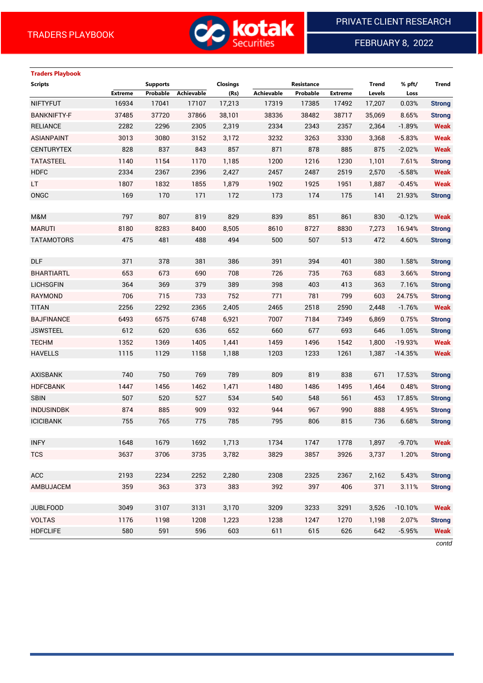

FEBRUARY 8, 2022

# **Traders Playbook**

| <b>Scripts</b>     |                | <b>Supports</b> |                   | <b>Closings</b> |            | Resistance |                | <b>Trend</b> | % pft/    | <b>Trend</b>  |
|--------------------|----------------|-----------------|-------------------|-----------------|------------|------------|----------------|--------------|-----------|---------------|
|                    | <b>Extreme</b> | Probable        | <b>Achievable</b> | (Rs)            | Achievable | Probable   | <b>Extreme</b> | Levels       | Loss      |               |
| <b>NIFTYFUT</b>    | 16934          | 17041           | 17107             | 17,213          | 17319      | 17385      | 17492          | 17,207       | 0.03%     | <b>Strong</b> |
| <b>BANKNIFTY-F</b> | 37485          | 37720           | 37866             | 38,101          | 38336      | 38482      | 38717          | 35,069       | 8.65%     | <b>Strong</b> |
| <b>RELIANCE</b>    | 2282           | 2296            | 2305              | 2,319           | 2334       | 2343       | 2357           | 2,364        | $-1.89%$  | <b>Weak</b>   |
| <b>ASIANPAINT</b>  | 3013           | 3080            | 3152              | 3,172           | 3232       | 3263       | 3330           | 3,368        | $-5.83%$  | <b>Weak</b>   |
| <b>CENTURYTEX</b>  | 828            | 837             | 843               | 857             | 871        | 878        | 885            | 875          | $-2.02%$  | <b>Weak</b>   |
| <b>TATASTEEL</b>   | 1140           | 1154            | 1170              | 1,185           | 1200       | 1216       | 1230           | 1,101        | 7.61%     | <b>Strong</b> |
| <b>HDFC</b>        | 2334           | 2367            | 2396              | 2,427           | 2457       | 2487       | 2519           | 2,570        | $-5.58%$  | <b>Weak</b>   |
| LT.                | 1807           | 1832            | 1855              | 1,879           | 1902       | 1925       | 1951           | 1,887        | $-0.45%$  | <b>Weak</b>   |
| ONGC               | 169            | 170             | 171               | 172             | 173        | 174        | 175            | 141          | 21.93%    | <b>Strong</b> |
|                    |                |                 |                   |                 |            |            |                |              |           |               |
| M&M                | 797            | 807             | 819               | 829             | 839        | 851        | 861            | 830          | $-0.12%$  | <b>Weak</b>   |
| <b>MARUTI</b>      | 8180           | 8283            | 8400              | 8,505           | 8610       | 8727       | 8830           | 7,273        | 16.94%    | <b>Strong</b> |
| <b>TATAMOTORS</b>  | 475            | 481             | 488               | 494             | 500        | 507        | 513            | 472          | 4.60%     | <b>Strong</b> |
|                    |                |                 |                   |                 |            |            |                |              |           |               |
| <b>DLF</b>         | 371            | 378             | 381               | 386             | 391        | 394        | 401            | 380          | 1.58%     | <b>Strong</b> |
| <b>BHARTIARTL</b>  | 653            | 673             | 690               | 708             | 726        | 735        | 763            | 683          | 3.66%     | <b>Strong</b> |
| <b>LICHSGFIN</b>   | 364            | 369             | 379               | 389             | 398        | 403        | 413            | 363          | 7.16%     | <b>Strong</b> |
| <b>RAYMOND</b>     | 706            | 715             | 733               | 752             | 771        | 781        | 799            | 603          | 24.75%    | <b>Strong</b> |
| <b>TITAN</b>       | 2256           | 2292            | 2365              | 2,405           | 2465       | 2518       | 2590           | 2,448        | $-1.76%$  | <b>Weak</b>   |
| <b>BAJFINANCE</b>  | 6493           | 6575            | 6748              | 6,921           | 7007       | 7184       | 7349           | 6,869        | 0.75%     | <b>Strong</b> |
| <b>JSWSTEEL</b>    | 612            | 620             | 636               | 652             | 660        | 677        | 693            | 646          | 1.05%     | <b>Strong</b> |
| <b>TECHM</b>       | 1352           | 1369            | 1405              | 1,441           | 1459       | 1496       | 1542           | 1,800        | $-19.93%$ | <b>Weak</b>   |
| <b>HAVELLS</b>     | 1115           | 1129            | 1158              | 1,188           | 1203       | 1233       | 1261           | 1,387        | $-14.35%$ | <b>Weak</b>   |
|                    |                |                 |                   |                 |            |            |                |              |           |               |
| <b>AXISBANK</b>    | 740            | 750             | 769               | 789             | 809        | 819        | 838            | 671          | 17.53%    | <b>Strong</b> |
| <b>HDFCBANK</b>    | 1447           | 1456            | 1462              | 1,471           | 1480       | 1486       | 1495           | 1,464        | 0.48%     | <b>Strong</b> |
| <b>SBIN</b>        | 507            | 520             | 527               | 534             | 540        | 548        | 561            | 453          | 17.85%    | <b>Strong</b> |
| <b>INDUSINDBK</b>  | 874            | 885             | 909               | 932             | 944        | 967        | 990            | 888          | 4.95%     | <b>Strong</b> |
| <b>ICICIBANK</b>   | 755            | 765             | 775               | 785             | 795        | 806        | 815            | 736          | 6.68%     | <b>Strong</b> |
|                    |                |                 |                   |                 |            |            |                |              |           |               |
| <b>INFY</b>        | 1648           | 1679            | 1692              | 1,713           | 1734       | 1747       | 1778           | 1,897        | $-9.70%$  | <b>Weak</b>   |
| <b>TCS</b>         | 3637           | 3706            | 3735              | 3,782           | 3829       | 3857       | 3926           | 3,737        | 1.20%     | <b>Strong</b> |
|                    |                |                 |                   |                 |            |            |                |              |           |               |
| <b>ACC</b>         | 2193           | 2234            | 2252              | 2,280           | 2308       | 2325       | 2367           | 2,162        | 5.43%     | <b>Strong</b> |
| AMBUJACEM          | 359            | 363             | 373               | 383             | 392        | 397        | 406            | 371          | 3.11%     | <b>Strong</b> |
|                    |                |                 |                   |                 |            |            |                |              |           |               |
| <b>JUBLFOOD</b>    | 3049           | 3107            | 3131              | 3,170           | 3209       | 3233       | 3291           | 3,526        | $-10.10%$ | <b>Weak</b>   |
| <b>VOLTAS</b>      | 1176           | 1198            | 1208              | 1,223           | 1238       | 1247       | 1270           | 1,198        | 2.07%     | <b>Strong</b> |
| <b>HDFCLIFE</b>    | 580            | 591             | 596               | 603             | 611        | 615        | 626            | 642          | $-5.95%$  | <b>Weak</b>   |
|                    |                |                 |                   |                 |            |            |                |              |           |               |

*contd*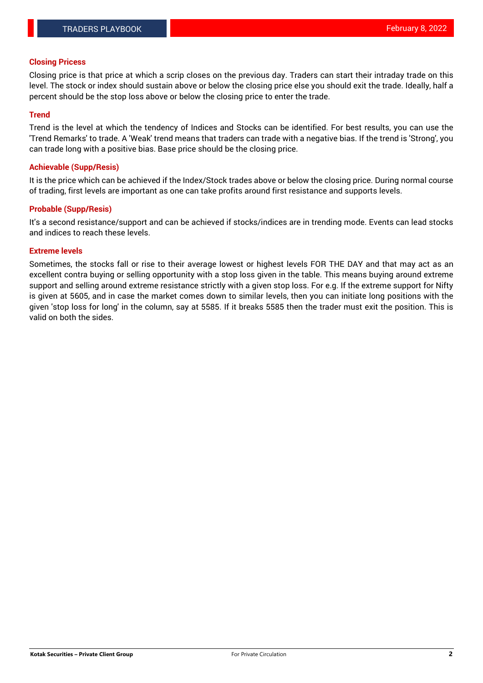#### **Closing Pricess**

Closing price is that price at which a scrip closes on the previous day. Traders can start their intraday trade on this level. The stock or index should sustain above or below the closing price else you should exit the trade. Ideally, half a percent should be the stop loss above or below the closing price to enter the trade.

#### **Trend**

Trend is the level at which the tendency of Indices and Stocks can be identified. For best results, you can use the 'Trend Remarks' to trade. A 'Weak' trend means that traders can trade with a negative bias. If the trend is 'Strong', you can trade long with a positive bias. Base price should be the closing price.

#### **Achievable (Supp/Resis)**

It is the price which can be achieved if the Index/Stock trades above or below the closing price. During normal course of trading, first levels are important as one can take profits around first resistance and supports levels.

#### **Probable (Supp/Resis)**

It's a second resistance/support and can be achieved if stocks/indices are in trending mode. Events can lead stocks and indices to reach these levels.

#### **Extreme levels**

Sometimes, the stocks fall or rise to their average lowest or highest levels FOR THE DAY and that may act as an excellent contra buying or selling opportunity with a stop loss given in the table. This means buying around extreme support and selling around extreme resistance strictly with a given stop loss. For e.g. If the extreme support for Nifty is given at 5605, and in case the market comes down to similar levels, then you can initiate long positions with the given 'stop loss for long' in the column, say at 5585. If it breaks 5585 then the trader must exit the position. This is valid on both the sides.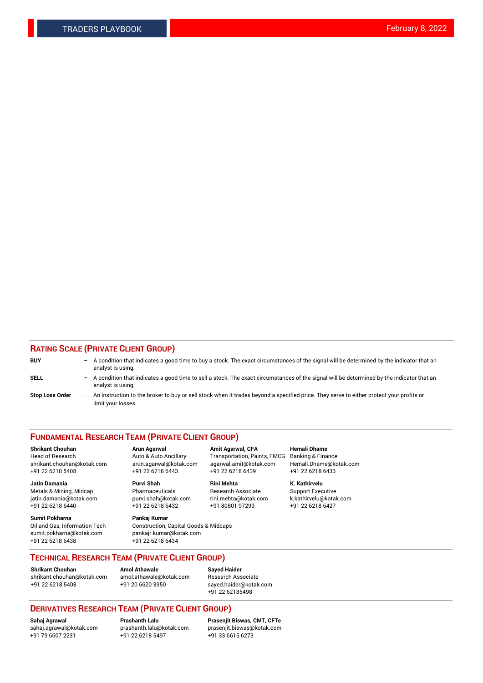#### **RATING SCALE (PRIVATE CLIENT GROUP)**

| <b>BUY</b>             | $-$ | A condition that indicates a good time to buy a stock. The exact circumstances of the signal will be determined by the indicator that an<br>analyst is using.  |
|------------------------|-----|----------------------------------------------------------------------------------------------------------------------------------------------------------------|
| SELL                   | $-$ | A condition that indicates a good time to sell a stock. The exact circumstances of the signal will be determined by the indicator that an<br>analyst is using. |
| <b>Stop Loss Order</b> | $-$ | An instruction to the broker to buy or sell stock when it trades beyond a specified price. They serve to either protect your profits or<br>limit your losses.  |

#### **FUNDAMENTAL RESEARCH TEAM (PRIVATE CLIENT GROUP)**

**Shrikant Chouhan Arun Agarwal Amit Agarwal, CFA Hemali Dhame** Head of Research Auto & Auto Ancillary Transportation, Paints, FMCG Banking & Finance shrikant.chouhan@kotak.com arun.agarwal@kotak.com agarwal.amit@kotak.com Hemali.Dhame@kotak.com

**Jatin Damania Purvi Shah Rini Mehta K. Kathirvelu** Metals & Mining, Midcap **Pharmaceuticals** Research Associate Support Executive jatin.damania@kotak.com [purvi.shah@kotak.com](mailto:purvi.shah@kotak.com) rini.mehta@kotak.com [k.kathirvelu@kotak.com](mailto:k.kathirvelu@kotak.com)  $+91$  22 6218 6440  $+91$  22 6218 6432

**Sumit Pokharna Pankaj Kumar** sumit.pokharna@kotak.com pankajr.kumar@kotak.com +91 22 6218 6438 +91 22 6218 6434

Oil and Gas, Information Tech Construction, Capital Goods & Midcaps

+91 22 6218 5408 +91 22 6218 6443 +91 22 6218 6439 +91 22 6218 6433

**TECHNICAL RESEARCH TEAM (PRIVATE CLIENT GROUP)**

[shrikant.chouhan@kotak.com](mailto:shrikant.chouhan@kotak.com) [amol.athawale@kotak.com](mailto:amol.athawale@kotak.com) Research Associate +91 22 6218 5408 +91 20 6620 3350 [sayed.haider@kotak.com](mailto:sayed.haider@kotak.com)

**Shrikant Chouhan Amol Athawale Sayed Haider**

# +91 22 62185498

# **DERIVATIVES RESEARCH TEAM (PRIVATE CLIENT GROUP)**

 $+91$  22 6218 5497

**Sahaj Agrawal Prashanth Lalu Prasenjit Biswas, CMT, CFTe** [sahaj.agrawal@kotak.com](mailto:sahaj.agrawal@kotak.com) [prashanth.lalu@kotak.com](mailto:prashanth.lalu@kotak.com) [prasenjit.biswas@kotak.com](mailto:prasenjit.biswas@kotak.com)